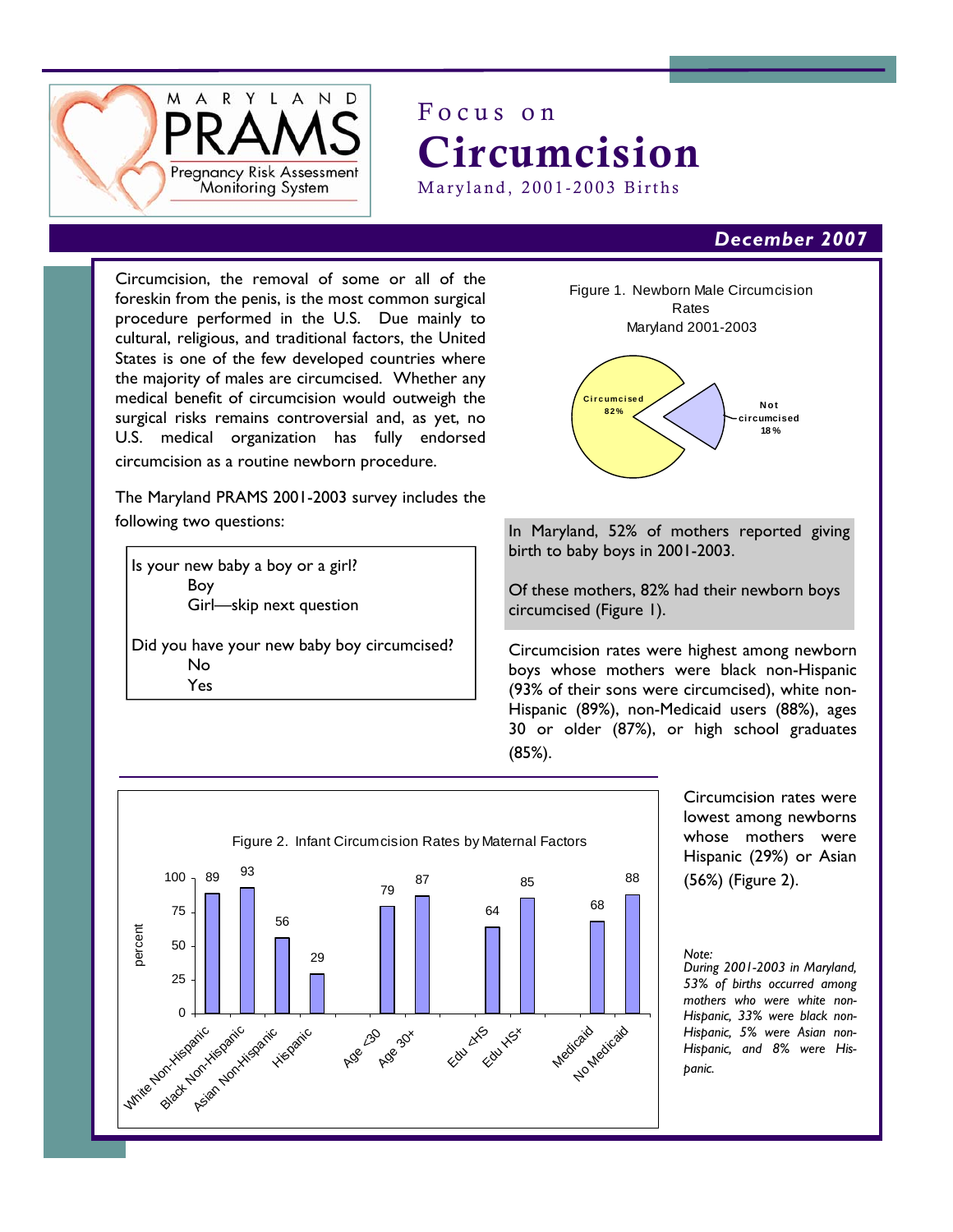

# Focus on Circumcision Maryland, 2001-2003 Births

## *December 2007*

Circumcision, the removal of some or all of the foreskin from the penis, is the most common surgical procedure performed in the U.S. Due mainly to cultural, religious, and traditional factors, the United States is one of the few developed countries where the majority of males are circumcised. Whether any medical benefit of circumcision would outweigh the surgical risks remains controversial and, as yet, no U.S. medical organization has fully endorsed circumcision as a routine newborn procedure.

The Maryland PRAMS 2001-2003 survey includes the following two questions:

Is your new baby a boy or a girl? Boy Girl—skip next question

Did you have your new baby boy circumcised? No Yes



In Maryland, 52% of mothers reported giving birth to baby boys in 2001-2003.

Of these mothers, 82% had their newborn boys circumcised (Figure 1).

Circumcision rates were highest among newborn boys whose mothers were black non-Hispanic (93% of their sons were circumcised), white non-Hispanic (89%), non-Medicaid users (88%), ages 30 or older (87%), or high school graduates (85%).



Circumcision rates were lowest among newborns whose mothers were Hispanic (29%) or Asian (56%) (Figure 2).

#### *Note:*

*During 2001-2003 in Maryland, 53% of births occurred among mothers who were white non-Hispanic, 33% were black non-Hispanic, 5% were Asian non-Hispanic, and 8% were Hispanic.*